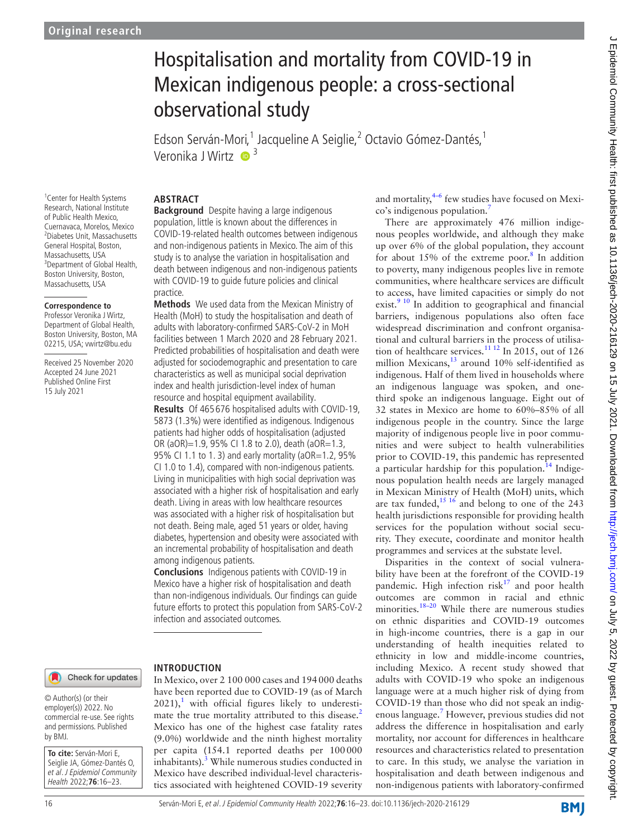# Hospitalisation and mortality from COVID-19 in Mexican indigenous people: a cross-sectional observational study

Edson Serván-Mori,<sup>1</sup> Jacqueline A Seiglie,<sup>2</sup> Octavio Gómez-Dantés,<sup>1</sup> Veronika J Wirtz  $\bullet$ <sup>3</sup>

#### **ABSTRACT**

<sup>1</sup> Center for Health Systems Research, National Institute of Public Health Mexico, Cuernavaca, Morelos, Mexico 2 Diabetes Unit, Massachusetts General Hospital, Boston, Massachusetts, USA 3 Department of Global Health, Boston University, Boston, Massachusetts, USA

#### **Correspondence to**

Professor Veronika J Wirtz, Department of Global Health, Boston University, Boston, MA 02215, USA; vwirtz@bu.edu

Received 25 November 2020 Accepted 24 June 2021 Published Online First 15 July 2021

**Background** Despite having a large indigenous population, little is known about the differences in COVID-19-related health outcomes between indigenous and non-indigenous patients in Mexico. The aim of this study is to analyse the variation in hospitalisation and death between indigenous and non-indigenous patients with COVID-19 to guide future policies and clinical practice.

**Methods** We used data from the Mexican Ministry of Health (MoH) to study the hospitalisation and death of adults with laboratory-confirmed SARS-CoV-2 in MoH facilities between 1 March 2020 and 28 February 2021. Predicted probabilities of hospitalisation and death were adjusted for sociodemographic and presentation to care characteristics as well as municipal social deprivation index and health jurisdiction-level index of human resource and hospital equipment availability.

**Results** Of 465 676 hospitalised adults with COVID-19, 5873 (1.3%) were identified as indigenous. Indigenous patients had higher odds of hospitalisation (adjusted OR (aOR)=1.9, 95% CI 1.8 to 2.0), death (aOR=1.3, 95% CI 1.1 to 1.3) and early mortality (aOR=1.2, 95% CI 1.0 to 1.4), compared with non-indigenous patients. Living in municipalities with high social deprivation was associated with a higher risk of hospitalisation and early death. Living in areas with low healthcare resources was associated with a higher risk of hospitalisation but not death. Being male, aged 51 years or older, having diabetes, hypertension and obesity were associated with an incremental probability of hospitalisation and death among indigenous patients.

**Conclusions** Indigenous patients with COVID-19 in Mexico have a higher risk of hospitalisation and death than non-indigenous individuals. Our findings can guide future efforts to protect this population from SARS-CoV-2 infection and associated outcomes.

#### Check for updates

#### © Author(s) (or their employer(s)) 2022. No commercial re-use. See rights and permissions. Published by BMJ.

**To cite:** Serván-Mori E, Seiglie JA, Gómez-Dantés O, et al. J Epidemiol Community Health 2022;**76**:16–23.

**INTRODUCTION**

In Mexico, over 2 100 000 cases and 194000 deaths have been reported due to COVID-19 (as of March  $2021$  $2021$ ,<sup>1</sup> with official figures likely to underesti-mate the true mortality attributed to this disease.<sup>[2](#page-7-1)</sup> Mexico has one of the highest case fatality rates (9.0%) worldwide and the ninth highest mortality per capita (154.1 reported deaths per 100000 inhabitants).<sup>[3](#page-7-2)</sup> While numerous studies conducted in Mexico have described individual-level characteristics associated with heightened COVID-19 severity

and mortality, $4-6$  few studies have focused on Mexico's indigenous population.<sup>7</sup>

There are approximately 476 million indigenous peoples worldwide, and although they make up over 6% of the global population, they account for about  $15\%$  of the extreme poor.<sup>8</sup> In addition to poverty, many indigenous peoples live in remote communities, where healthcare services are difficult to access, have limited capacities or simply do not exist.<sup>9</sup> <sup>10</sup> In addition to geographical and financial barriers, indigenous populations also often face widespread discrimination and confront organisational and cultural barriers in the process of utilisation of healthcare services.<sup>11 12</sup> In 2015, out of 126 million Mexicans,<sup>13</sup> around 10% self-identified as indigenous. Half of them lived in households where an indigenous language was spoken, and onethird spoke an indigenous language. Eight out of 32 states in Mexico are home to 60%–85% of all indigenous people in the country. Since the large majority of indigenous people live in poor communities and were subject to health vulnerabilities prior to COVID-19, this pandemic has represented a particular hardship for this population.<sup>14</sup> Indigenous population health needs are largely managed in Mexican Ministry of Health (MoH) units, which are tax funded,  $15 \frac{16}{6}$  and belong to one of the 243 health jurisdictions responsible for providing health services for the population without social security. They execute, coordinate and monitor health programmes and services at the substate level.

Disparities in the context of social vulnerability have been at the forefront of the COVID-19 pandemic. High infection risk $17$  and poor health outcomes are common in racial and ethnic minorities.<sup>18-20</sup> While there are numerous studies on ethnic disparities and COVID-19 outcomes in high-income countries, there is a gap in our understanding of health inequities related to ethnicity in low and middle-income countries, including Mexico. A recent study showed that adults with COVID-19 who spoke an indigenous language were at a much higher risk of dying from COVID-19 than those who did not speak an indigenous language.[7](#page-7-4) However, previous studies did not address the difference in hospitalisation and early mortality, nor account for differences in healthcare resources and characteristics related to presentation to care. In this study, we analyse the variation in hospitalisation and death between indigenous and non-indigenous patients with laboratory-confirmed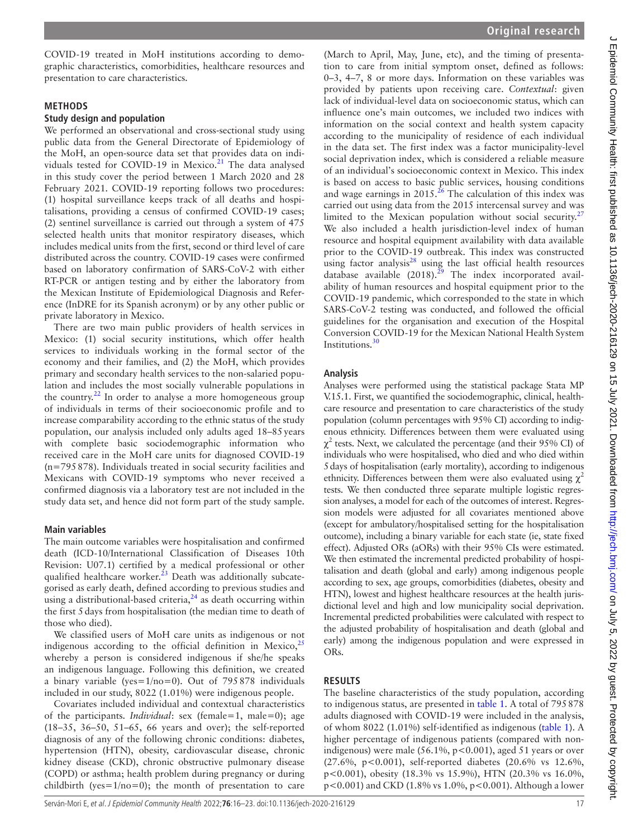COVID-19 treated in MoH institutions according to demographic characteristics, comorbidities, healthcare resources and presentation to care characteristics.

#### **METHODS**

#### **Study design and population**

We performed an observational and cross-sectional study using public data from the General Directorate of Epidemiology of the MoH, an open-source data set that provides data on indi-viduals tested for COVID-19 in Mexico.<sup>[21](#page-7-13)</sup> The data analysed in this study cover the period between 1 March 2020 and 28 February 2021. COVID-19 reporting follows two procedures: (1) hospital surveillance keeps track of all deaths and hospitalisations, providing a census of confirmed COVID-19 cases; (2) sentinel surveillance is carried out through a system of 475 selected health units that monitor respiratory diseases, which includes medical units from the first, second or third level of care distributed across the country. COVID-19 cases were confirmed based on laboratory confirmation of SARS-CoV-2 with either RT-PCR or antigen testing and by either the laboratory from the Mexican Institute of Epidemiological Diagnosis and Reference (InDRE for its Spanish acronym) or by any other public or private laboratory in Mexico.

There are two main public providers of health services in Mexico: (1) social security institutions, which offer health services to individuals working in the formal sector of the economy and their families, and (2) the MoH, which provides primary and secondary health services to the non-salaried population and includes the most socially vulnerable populations in the country. $22$  In order to analyse a more homogeneous group of individuals in terms of their socioeconomic profile and to increase comparability according to the ethnic status of the study population, our analysis included only adults aged 18–85years with complete basic sociodemographic information who received care in the MoH care units for diagnosed COVID-19 (n=795878). Individuals treated in social security facilities and Mexicans with COVID-19 symptoms who never received a confirmed diagnosis via a laboratory test are not included in the study data set, and hence did not form part of the study sample.

#### **Main variables**

The main outcome variables were hospitalisation and confirmed death (ICD-10/International Classification of Diseases 10th Revision: U07.1) certified by a medical professional or other qualified healthcare worker.<sup>[23](#page-7-15)</sup> Death was additionally subcategorised as early death, defined according to previous studies and using a distributional-based criteria, $^{24}$  $^{24}$  $^{24}$  as death occurring within the first 5 days from hospitalisation (the median time to death of those who died).

We classified users of MoH care units as indigenous or not indigenous according to the official definition in Mexico, $\frac{2}{5}$ whereby a person is considered indigenous if she/he speaks an indigenous language. Following this definition, we created a binary variable (yes= $1/no=0$ ). Out of 795878 individuals included in our study, 8022 (1.01%) were indigenous people.

Covariates included individual and contextual characteristics of the participants. *Individual*: sex (female=1, male=0); age (18–35, 36–50, 51–65, 66 years and over); the self-reported diagnosis of any of the following chronic conditions: diabetes, hypertension (HTN), obesity, cardiovascular disease, chronic kidney disease (CKD), chronic obstructive pulmonary disease (COPD) or asthma; health problem during pregnancy or during childbirth (yes= $1/no=0$ ); the month of presentation to care

(March to April, May, June, etc), and the timing of presentation to care from initial symptom onset, defined as follows: 0–3, 4–7, 8 or more days. Information on these variables was provided by patients upon receiving care. *Contextual*: given lack of individual-level data on socioeconomic status, which can influence one's main outcomes, we included two indices with information on the social context and health system capacity according to the municipality of residence of each individual in the data set. The first index was a factor municipality-level social deprivation index, which is considered a reliable measure of an individual's socioeconomic context in Mexico. This index is based on access to basic public services, housing conditions and wage earnings in  $2015.<sup>26</sup>$  $2015.<sup>26</sup>$  $2015.<sup>26</sup>$  The calculation of this index was carried out using data from the 2015 intercensal survey and was limited to the Mexican population without social security. $27$ We also included a health jurisdiction-level index of human resource and hospital equipment availability with data available prior to the COVID-19 outbreak. This index was constructed using factor analysis $^{28}$  using the last official health resources database available  $(2018).^{29}$  The index incorporated availability of human resources and hospital equipment prior to the COVID-19 pandemic, which corresponded to the state in which SARS-CoV-2 testing was conducted, and followed the official guidelines for the organisation and execution of the Hospital Conversion COVID-19 for the Mexican National Health System Institutions.<sup>[30](#page-7-22)</sup>

#### **Analysis**

Analyses were performed using the statistical package Stata MP V.15.1. First, we quantified the sociodemographic, clinical, healthcare resource and presentation to care characteristics of the study population (column percentages with 95% CI) according to indigenous ethnicity. Differences between them were evaluated using  $\chi^2$  tests. Next, we calculated the percentage (and their 95% CI) of individuals who were hospitalised, who died and who died within 5days of hospitalisation (early mortality), according to indigenous ethnicity. Differences between them were also evaluated using  $\chi^2$ tests. We then conducted three separate multiple logistic regression analyses, a model for each of the outcomes of interest. Regression models were adjusted for all covariates mentioned above (except for ambulatory/hospitalised setting for the hospitalisation outcome), including a binary variable for each state (ie, state fixed effect). Adjusted ORs (aORs) with their 95% CIs were estimated. We then estimated the incremental predicted probability of hospitalisation and death (global and early) among indigenous people according to sex, age groups, comorbidities (diabetes, obesity and HTN), lowest and highest healthcare resources at the health jurisdictional level and high and low municipality social deprivation. Incremental predicted probabilities were calculated with respect to the adjusted probability of hospitalisation and death (global and early) among the indigenous population and were expressed in ORs.

#### **RESULTS**

The baseline characteristics of the study population, according to indigenous status, are presented in [table](#page-2-0) 1. A total of 795878 adults diagnosed with COVID-19 were included in the analysis, of whom 8022 (1.01%) self-identified as indigenous [\(table](#page-2-0) 1). A higher percentage of indigenous patients (compared with nonindigenous) were male  $(56.1\%, p<0.001)$ , aged 51 years or over (27.6%, p<0.001), self-reported diabetes (20.6% vs 12.6%, p<0.001), obesity (18.3% vs 15.9%), HTN (20.3% vs 16.0%, p<0.001) and CKD (1.8% vs 1.0%, p<0.001). Although a lower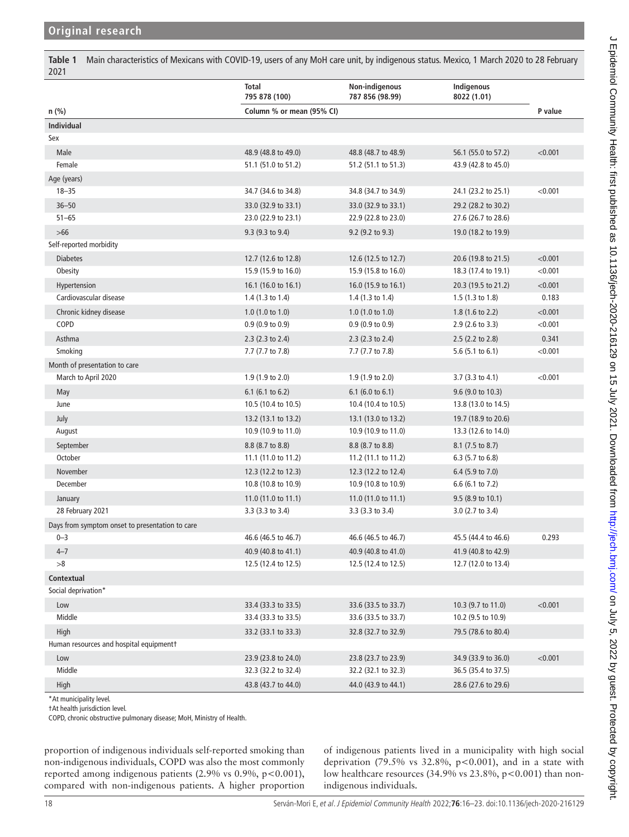<span id="page-2-0"></span>**Table 1** Main characteristics of Mexicans with COVID-19, users of any MoH care unit, by indigenous status. Mexico, 1 March 2020 to 28 February 2021

|                                                 | Total<br>795 878 (100)      | Non-indigenous<br>787 856 (98.99) | Indigenous<br>8022 (1.01)   |         |
|-------------------------------------------------|-----------------------------|-----------------------------------|-----------------------------|---------|
| $n$ (%)                                         | Column % or mean (95% CI)   |                                   |                             | P value |
| Individual                                      |                             |                                   |                             |         |
| Sex                                             |                             |                                   |                             |         |
| Male                                            | 48.9 (48.8 to 49.0)         | 48.8 (48.7 to 48.9)               | 56.1 (55.0 to 57.2)         | < 0.001 |
| Female                                          | 51.1 (51.0 to 51.2)         | 51.2 (51.1 to 51.3)               | 43.9 (42.8 to 45.0)         |         |
| Age (years)                                     |                             |                                   |                             |         |
| $18 - 35$                                       | 34.7 (34.6 to 34.8)         | 34.8 (34.7 to 34.9)               | 24.1 (23.2 to 25.1)         | < 0.001 |
| $36 - 50$                                       | 33.0 (32.9 to 33.1)         | 33.0 (32.9 to 33.1)               | 29.2 (28.2 to 30.2)         |         |
| $51 - 65$                                       | 23.0 (22.9 to 23.1)         | 22.9 (22.8 to 23.0)               | 27.6 (26.7 to 28.6)         |         |
| $>66$                                           | 9.3 (9.3 to 9.4)            | 9.2 (9.2 to 9.3)                  | 19.0 (18.2 to 19.9)         |         |
| Self-reported morbidity                         |                             |                                   |                             |         |
| <b>Diabetes</b>                                 | 12.7 (12.6 to 12.8)         | 12.6 (12.5 to 12.7)               | 20.6 (19.8 to 21.5)         | < 0.001 |
| Obesity                                         | 15.9 (15.9 to 16.0)         | 15.9 (15.8 to 16.0)               | 18.3 (17.4 to 19.1)         | < 0.001 |
| Hypertension                                    | 16.1 (16.0 to 16.1)         | 16.0 (15.9 to 16.1)               | 20.3 (19.5 to 21.2)         | < 0.001 |
| Cardiovascular disease                          | 1.4 $(1.3 \text{ to } 1.4)$ | 1.4 $(1.3 \text{ to } 1.4)$       | $1.5(1.3 \text{ to } 1.8)$  | 0.183   |
| Chronic kidney disease                          | $1.0$ (1.0 to 1.0)          | $1.0$ (1.0 to 1.0)                | 1.8 (1.6 to 2.2)            | < 0.001 |
| COPD                                            | $0.9(0.9 \text{ to } 0.9)$  | $0.9(0.9 \text{ to } 0.9)$        | 2.9 (2.6 to 3.3)            | < 0.001 |
| Asthma                                          | $2.3$ (2.3 to 2.4)          | $2.3$ (2.3 to 2.4)                | 2.5 (2.2 to 2.8)            | 0.341   |
| Smoking                                         | 7.7 (7.7 to 7.8)            | 7.7 (7.7 to 7.8)                  | 5.6 $(5.1 \text{ to } 6.1)$ | < 0.001 |
| Month of presentation to care                   |                             |                                   |                             |         |
| March to April 2020                             | 1.9 (1.9 to 2.0)            | $1.9(1.9 \text{ to } 2.0)$        | $3.7$ (3.3 to 4.1)          | < 0.001 |
| May                                             | $6.1$ (6.1 to 6.2)          | 6.1 (6.0 to $6.1$ )               | 9.6 (9.0 to 10.3)           |         |
| June                                            | 10.5 (10.4 to 10.5)         | 10.4 (10.4 to 10.5)               | 13.8 (13.0 to 14.5)         |         |
| July                                            | 13.2 (13.1 to 13.2)         | 13.1 (13.0 to 13.2)               | 19.7 (18.9 to 20.6)         |         |
| August                                          | 10.9 (10.9 to 11.0)         | 10.9 (10.9 to 11.0)               | 13.3 (12.6 to 14.0)         |         |
| September                                       | 8.8 (8.7 to 8.8)            | 8.8 (8.7 to 8.8)                  | 8.1 (7.5 to 8.7)            |         |
| October                                         | 11.1 (11.0 to 11.2)         | 11.2 (11.1 to 11.2)               | 6.3 (5.7 to 6.8)            |         |
| November                                        | 12.3 (12.2 to 12.3)         | 12.3 (12.2 to 12.4)               | 6.4 (5.9 to 7.0)            |         |
| December                                        | 10.8 (10.8 to 10.9)         | 10.9 (10.8 to 10.9)               | 6.6 (6.1 to 7.2)            |         |
| January                                         | 11.0 (11.0 to 11.1)         | 11.0 (11.0 to 11.1)               | 9.5 (8.9 to 10.1)           |         |
| 28 February 2021                                | 3.3 (3.3 to 3.4)            | 3.3 (3.3 to 3.4)                  | 3.0 (2.7 to 3.4)            |         |
| Days from symptom onset to presentation to care |                             |                                   |                             |         |
| $0 - 3$                                         | 46.6 (46.5 to 46.7)         | 46.6 (46.5 to 46.7)               | 45.5 (44.4 to 46.6)         | 0.293   |
| $4 - 7$                                         | 40.9 (40.8 to 41.1)         | 40.9 (40.8 to 41.0)               | 41.9 (40.8 to 42.9)         |         |
| >8                                              | 12.5 (12.4 to 12.5)         | 12.5 (12.4 to 12.5)               | 12.7 (12.0 to 13.4)         |         |
| Contextual                                      |                             |                                   |                             |         |
| Social deprivation*                             |                             |                                   |                             |         |
| Low                                             | 33.4 (33.3 to 33.5)         | 33.6 (33.5 to 33.7)               | 10.3 (9.7 to 11.0)          | < 0.001 |
| Middle                                          | 33.4 (33.3 to 33.5)         | 33.6 (33.5 to 33.7)               | 10.2 (9.5 to 10.9)          |         |
| High                                            | 33.2 (33.1 to 33.3)         | 32.8 (32.7 to 32.9)               | 79.5 (78.6 to 80.4)         |         |
| Human resources and hospital equipmentt         |                             |                                   |                             |         |
| Low                                             | 23.9 (23.8 to 24.0)         | 23.8 (23.7 to 23.9)               | 34.9 (33.9 to 36.0)         | < 0.001 |
| Middle                                          | 32.3 (32.2 to 32.4)         | 32.2 (32.1 to 32.3)               | 36.5 (35.4 to 37.5)         |         |
| High                                            | 43.8 (43.7 to 44.0)         | 44.0 (43.9 to 44.1)               | 28.6 (27.6 to 29.6)         |         |

\*At municipality level.

†At health jurisdiction level.

COPD, chronic obstructive pulmonary disease; MoH, Ministry of Health.

proportion of indigenous individuals self-reported smoking than non-indigenous individuals, COPD was also the most commonly reported among indigenous patients (2.9% vs 0.9%, p<0.001), compared with non-indigenous patients. A higher proportion

of indigenous patients lived in a municipality with high social deprivation (79.5% vs  $32.8\%$ , p<0.001), and in a state with low healthcare resources (34.9% vs  $23.8\%$ , p<0.001) than nonindigenous individuals.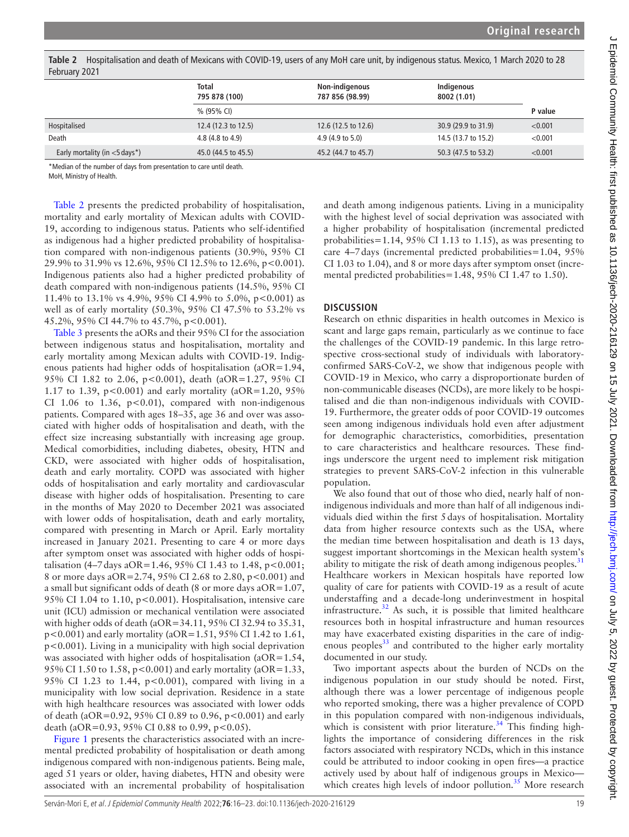**Total 795 878 (100) Non-indigenous 787 856 (98.99) Indigenous 8002 (1.01)** % (95% CI) **P value** Hospitalised 12.4 (12.3 to 12.5) 12.6 (12.5 to 12.6) 30.9 (29.9 to 31.9) <0.001 Death 4.8 (4.8 to 4.9) 4.9 (4.9 to 5.0) 14.5 (13.7 to 15.2) <0.001 Early mortality (in <5 days\*) 45.0 (44.5 to 45.5) 45.2 (44.7 to 45.7) 50.3 (47.5 to 53.2) <0.001

<span id="page-3-0"></span>**Table 2** Hospitalisation and death of Mexicans with COVID-19, users of any MoH care unit, by indigenous status. Mexico, 1 March 2020 to 28 February 2021

\*Median of the number of days from presentation to care until death.

MoH, Ministry of Health.

[Table](#page-3-0) 2 presents the predicted probability of hospitalisation, mortality and early mortality of Mexican adults with COVID-19, according to indigenous status. Patients who self-identified as indigenous had a higher predicted probability of hospitalisation compared with non-indigenous patients (30.9%, 95% CI 29.9% to 31.9% vs 12.6%, 95% CI 12.5% to 12.6%, p<0.001). Indigenous patients also had a higher predicted probability of death compared with non-indigenous patients (14.5%, 95% CI 11.4% to 13.1% vs 4.9%, 95% CI 4.9% to 5.0%, p<0.001) as well as of early mortality (50.3%, 95% CI 47.5% to 53.2% vs 45.2%, 95% CI 44.7% to 45.7%, p<0.001).

[Table](#page-4-0) 3 presents the aORs and their 95% CI for the association between indigenous status and hospitalisation, mortality and early mortality among Mexican adults with COVID-19. Indigenous patients had higher odds of hospitalisation (aOR=1.94, 95% CI 1.82 to 2.06, p<0.001), death (aOR=1.27, 95% CI 1.17 to 1.39, p<0.001) and early mortality ( $aOR=1.20$ ,  $95%$ CI 1.06 to 1.36,  $p<0.01$ ), compared with non-indigenous patients. Compared with ages 18–35, age 36 and over was associated with higher odds of hospitalisation and death, with the effect size increasing substantially with increasing age group. Medical comorbidities, including diabetes, obesity, HTN and CKD, were associated with higher odds of hospitalisation, death and early mortality. COPD was associated with higher odds of hospitalisation and early mortality and cardiovascular disease with higher odds of hospitalisation. Presenting to care in the months of May 2020 to December 2021 was associated with lower odds of hospitalisation, death and early mortality, compared with presenting in March or April. Early mortality increased in January 2021. Presenting to care 4 or more days after symptom onset was associated with higher odds of hospitalisation (4–7 days aOR=1.46, 95% CI 1.43 to 1.48, p<0.001; 8 or more days aOR=2.74, 95% CI 2.68 to 2.80, p<0.001) and a small but significant odds of death (8 or more days aOR=1.07, 95% CI 1.04 to 1.10, p<0.001). Hospitalisation, intensive care unit (ICU) admission or mechanical ventilation were associated with higher odds of death (aOR=34.11, 95% CI 32.94 to 35.31, p<0.001) and early mortality (aOR=1.51, 95% CI 1.42 to 1.61, p<0.001). Living in a municipality with high social deprivation was associated with higher odds of hospitalisation (aOR=1.54, 95% CI 1.50 to 1.58,  $p < 0.001$ ) and early mortality (aOR=1.33, 95% CI 1.23 to 1.44, p<0.001), compared with living in a municipality with low social deprivation. Residence in a state with high healthcare resources was associated with lower odds of death (aOR=0.92, 95% CI 0.89 to 0.96, p<0.001) and early death (aOR=0.93, 95% CI 0.88 to 0.99, p<0.05).

[Figure](#page-6-0) 1 presents the characteristics associated with an incremental predicted probability of hospitalisation or death among indigenous compared with non-indigenous patients. Being male, aged 51 years or older, having diabetes, HTN and obesity were associated with an incremental probability of hospitalisation

and death among indigenous patients. Living in a municipality with the highest level of social deprivation was associated with a higher probability of hospitalisation (incremental predicted probabilities=1.14, 95% CI 1.13 to 1.15), as was presenting to care 4–7days (incremental predicted probabilities=1.04, 95% CI 1.03 to 1.04), and 8 or more days after symptom onset (incremental predicted probabilities=1.48, 95% CI 1.47 to 1.50).

# **DISCUSSION**

Research on ethnic disparities in health outcomes in Mexico is scant and large gaps remain, particularly as we continue to face the challenges of the COVID-19 pandemic. In this large retrospective cross-sectional study of individuals with laboratoryconfirmed SARS-CoV-2, we show that indigenous people with COVID-19 in Mexico, who carry a disproportionate burden of non-communicable diseases (NCDs), are more likely to be hospitalised and die than non-indigenous individuals with COVID-19. Furthermore, the greater odds of poor COVID-19 outcomes seen among indigenous individuals hold even after adjustment for demographic characteristics, comorbidities, presentation to care characteristics and healthcare resources. These findings underscore the urgent need to implement risk mitigation strategies to prevent SARS-CoV-2 infection in this vulnerable population.

We also found that out of those who died, nearly half of nonindigenous individuals and more than half of all indigenous individuals died within the first 5days of hospitalisation. Mortality data from higher resource contexts such as the USA, where the median time between hospitalisation and death is 13 days, suggest important shortcomings in the Mexican health system's ability to mitigate the risk of death among indigenous peoples. $31$ Healthcare workers in Mexican hospitals have reported low quality of care for patients with COVID-19 as a result of acute understaffing and a decade-long underinvestment in hospital infrastructure. $32$  As such, it is possible that limited healthcare resources both in hospital infrastructure and human resources may have exacerbated existing disparities in the care of indigenous peoples $33$  and contributed to the higher early mortality documented in our study.

Two important aspects about the burden of NCDs on the indigenous population in our study should be noted. First, although there was a lower percentage of indigenous people who reported smoking, there was a higher prevalence of COPD in this population compared with non-indigenous individuals, which is consistent with prior literature.<sup>[34](#page-7-26)</sup> This finding highlights the importance of considering differences in the risk factors associated with respiratory NCDs, which in this instance could be attributed to indoor cooking in open fires—a practice actively used by about half of indigenous groups in Mexico which creates high levels of indoor pollution. $35$  More research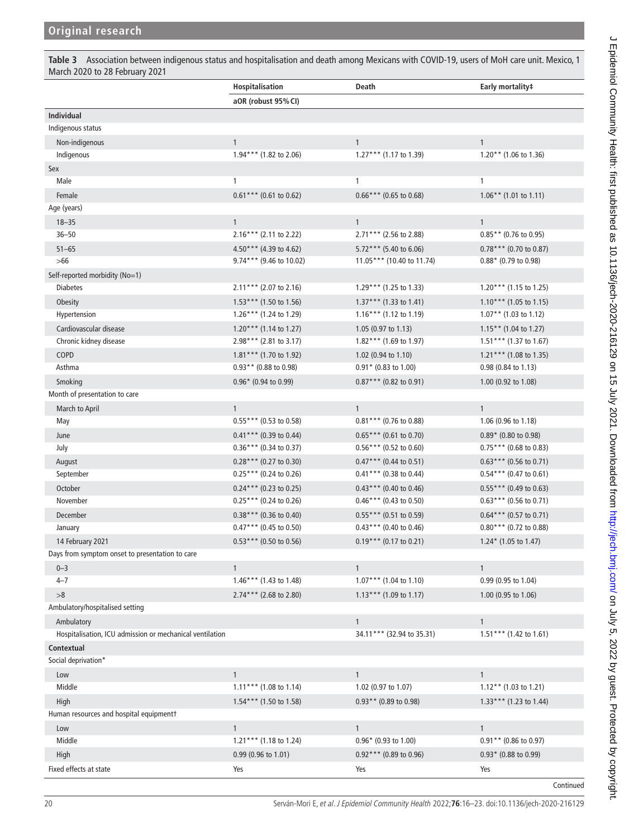<span id="page-4-0"></span>**Table 3** Association between indigenous status and hospitalisation and death among Mexicans with COVID-19, users of MoH care unit. Mexico, 1 March 2020 to 28 February 2021

|                                                          | Hospitalisation          | Death                     | Early mortality#                 |
|----------------------------------------------------------|--------------------------|---------------------------|----------------------------------|
|                                                          | aOR (robust 95% CI)      |                           |                                  |
| <b>Individual</b>                                        |                          |                           |                                  |
| Indigenous status                                        |                          |                           |                                  |
| Non-indigenous                                           | $\mathbf{1}$             | $\mathbf{1}$              | $\mathbf{1}$                     |
| Indigenous                                               | $1.94***$ (1.82 to 2.06) | $1.27***$ (1.17 to 1.39)  | $1.20**$ (1.06 to 1.36)          |
| Sex                                                      |                          |                           |                                  |
| Male                                                     | $\mathbf{1}$             | $\mathbf{1}$              | $\mathbf{1}$                     |
| Female                                                   | $0.61***$ (0.61 to 0.62) | $0.66***$ (0.65 to 0.68)  | $1.06**$ (1.01 to 1.11)          |
| Age (years)                                              |                          |                           |                                  |
| $18 - 35$                                                | $\mathbf{1}$             | $\mathbf{1}$              | $\mathbf{1}$                     |
| $36 - 50$                                                | $2.16***$ (2.11 to 2.22) | 2.71*** (2.56 to 2.88)    | $0.85**$ (0.76 to 0.95)          |
| $51 - 65$                                                | $4.50***$ (4.39 to 4.62) | $5.72***$ (5.40 to 6.06)  | $0.78***$ (0.70 to 0.87)         |
| $>66$                                                    | 9.74*** (9.46 to 10.02)  | 11.05*** (10.40 to 11.74) | 0.88* (0.79 to 0.98)             |
| Self-reported morbidity (No=1)                           |                          |                           |                                  |
| <b>Diabetes</b>                                          | $2.11***$ (2.07 to 2.16) | 1.29*** (1.25 to 1.33)    | $1.20***$ (1.15 to 1.25)         |
| Obesity                                                  | $1.53***$ (1.50 to 1.56) | $1.37***$ (1.33 to 1.41)  | $1.10***$ (1.05 to 1.15)         |
| Hypertension                                             | $1.26***$ (1.24 to 1.29) | $1.16***$ (1.12 to 1.19)  | $1.07**$ (1.03 to 1.12)          |
| Cardiovascular disease                                   | $1.20***$ (1.14 to 1.27) | 1.05 (0.97 to 1.13)       | $1.15**$ (1.04 to 1.27)          |
| Chronic kidney disease                                   | 2.98*** (2.81 to 3.17)   | $1.82***$ (1.69 to 1.97)  | $1.51***$ (1.37 to 1.67)         |
| COPD                                                     | $1.81***$ (1.70 to 1.92) | 1.02 (0.94 to 1.10)       | $1.21***$ (1.08 to 1.35)         |
| Asthma                                                   | $0.93**$ (0.88 to 0.98)  | $0.91*$ (0.83 to 1.00)    | 0.98 (0.84 to 1.13)              |
| Smoking                                                  | $0.96*$ (0.94 to 0.99)   | $0.87***$ (0.82 to 0.91)  | 1.00 (0.92 to 1.08)              |
| Month of presentation to care                            |                          |                           |                                  |
| March to April                                           | $\mathbf{1}$             | $\mathbf{1}$              | $\mathbf{1}$                     |
| May                                                      | $0.55***(0.53 to 0.58)$  | $0.81***$ (0.76 to 0.88)  | 1.06 (0.96 to 1.18)              |
| June                                                     | $0.41***$ (0.39 to 0.44) | $0.65***$ (0.61 to 0.70)  | $0.89*$ (0.80 to 0.98)           |
| July                                                     | $0.36***$ (0.34 to 0.37) | $0.56***$ (0.52 to 0.60)  | $0.75***$ (0.68 to 0.83)         |
| August                                                   | $0.28***$ (0.27 to 0.30) | $0.47***$ (0.44 to 0.51)  | $0.63***$ (0.56 to 0.71)         |
| September                                                | $0.25***$ (0.24 to 0.26) | $0.41***$ (0.38 to 0.44)  | $0.54***$ (0.47 to 0.61)         |
| October                                                  | $0.24***$ (0.23 to 0.25) | $0.43***$ (0.40 to 0.46)  | $0.55***(0.49 \text{ to } 0.63)$ |
| November                                                 | $0.25***$ (0.24 to 0.26) | $0.46***$ (0.43 to 0.50)  | $0.63***$ (0.56 to 0.71)         |
| December                                                 | $0.38***$ (0.36 to 0.40) | $0.55***$ (0.51 to 0.59)  | $0.64***$ (0.57 to 0.71)         |
| January                                                  | $0.47***$ (0.45 to 0.50) | $0.43***$ (0.40 to 0.46)  | $0.80***$ (0.72 to 0.88)         |
| 14 February 2021                                         | $0.53***$ (0.50 to 0.56) | $0.19***$ (0.17 to 0.21)  | $1.24*$ (1.05 to 1.47)           |
| Days from symptom onset to presentation to care          |                          |                           |                                  |
| $0 - 3$                                                  | $\mathbf{1}$             | $\mathbf{1}$              | $\mathbf{1}$                     |
| $4 - 7$                                                  | $1.46***$ (1.43 to 1.48) | $1.07***$ (1.04 to 1.10)  | 0.99 (0.95 to 1.04)              |
| >8                                                       | $2.74***$ (2.68 to 2.80) | $1.13***$ (1.09 to 1.17)  | 1.00 (0.95 to 1.06)              |
| Ambulatory/hospitalised setting                          |                          |                           |                                  |
| Ambulatory                                               |                          | $\mathbf{1}$              | $\mathbf{1}$                     |
| Hospitalisation, ICU admission or mechanical ventilation |                          | 34.11*** (32.94 to 35.31) | $1.51***$ (1.42 to 1.61)         |
| Contextual                                               |                          |                           |                                  |
| Social deprivation*                                      |                          |                           |                                  |
| Low                                                      | $\mathbf{1}$             | $\mathbf{1}$              | $\mathbf{1}$                     |
| Middle                                                   | $1.11***$ (1.08 to 1.14) | 1.02 (0.97 to 1.07)       | $1.12***$ (1.03 to 1.21)         |
| High                                                     | $1.54***$ (1.50 to 1.58) | $0.93**$ (0.89 to 0.98)   | $1.33***$ (1.23 to 1.44)         |
| Human resources and hospital equipmentt                  |                          |                           |                                  |
| Low                                                      | $\mathbf{1}$             | $\mathbf{1}$              | $\mathbf{1}$                     |
| Middle                                                   | 1.21*** (1.18 to 1.24)   | $0.96*$ (0.93 to 1.00)    | $0.91**$ (0.86 to 0.97)          |
| High                                                     | 0.99 (0.96 to 1.01)      | $0.92***$ (0.89 to 0.96)  | $0.93*$ (0.88 to 0.99)           |
| Fixed effects at state                                   | Yes                      | Yes                       | Yes                              |
|                                                          |                          |                           | Continued                        |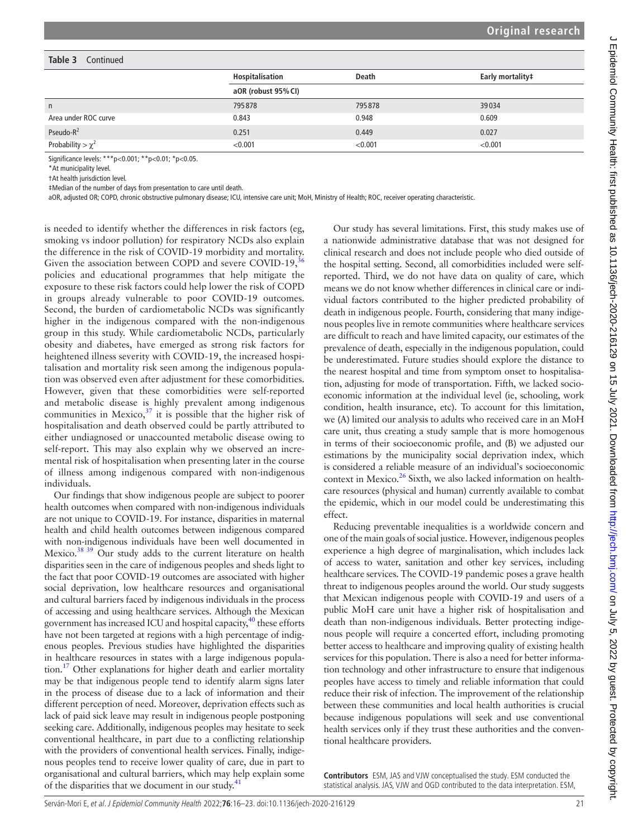#### **Table 3** Continued

|                        | Hospitalisation     | <b>Death</b> | Early mortality# |  |
|------------------------|---------------------|--------------|------------------|--|
|                        | aOR (robust 95% CI) |              |                  |  |
| $\mathsf{n}$           | 795878              | 795878       | 39034            |  |
| Area under ROC curve   | 0.843               | 0.948        | 0.609            |  |
| Pseudo- $R^2$          | 0.251               | 0.449        | 0.027            |  |
| Probability > $\chi^2$ | < 0.001             | < 0.001      | < 0.001          |  |

Significance levels: \*\*\*p<0.001; \*\*p<0.01; \*p<0.05.

\*At municipality level.

†At health jurisdiction level.

‡Median of the number of days from presentation to care until death.

aOR, adjusted OR; COPD, chronic obstructive pulmonary disease; ICU, intensive care unit; MoH, Ministry of Health; ROC, receiver operating characteristic.

is needed to identify whether the differences in risk factors (eg, smoking vs indoor pollution) for respiratory NCDs also explain the difference in the risk of COVID-19 morbidity and mortality. Given the association between COPD and severe COVID-19,<sup>3</sup> policies and educational programmes that help mitigate the exposure to these risk factors could help lower the risk of COPD in groups already vulnerable to poor COVID-19 outcomes. Second, the burden of cardiometabolic NCDs was significantly higher in the indigenous compared with the non-indigenous group in this study. While cardiometabolic NCDs, particularly obesity and diabetes, have emerged as strong risk factors for heightened illness severity with COVID-19, the increased hospitalisation and mortality risk seen among the indigenous population was observed even after adjustment for these comorbidities. However, given that these comorbidities were self-reported and metabolic disease is highly prevalent among indigenous communities in Mexico, $37$  it is possible that the higher risk of hospitalisation and death observed could be partly attributed to either undiagnosed or unaccounted metabolic disease owing to self-report. This may also explain why we observed an incremental risk of hospitalisation when presenting later in the course of illness among indigenous compared with non-indigenous individuals.

Our findings that show indigenous people are subject to poorer health outcomes when compared with non-indigenous individuals are not unique to COVID-19. For instance, disparities in maternal health and child health outcomes between indigenous compared with non-indigenous individuals have been well documented in Mexico[.38 39](#page-7-30) Our study adds to the current literature on health disparities seen in the care of indigenous peoples and sheds light to the fact that poor COVID-19 outcomes are associated with higher social deprivation, low healthcare resources and organisational and cultural barriers faced by indigenous individuals in the process of accessing and using healthcare services. Although the Mexican government has increased ICU and hospital capacity,<sup>40</sup> these efforts have not been targeted at regions with a high percentage of indigenous peoples. Previous studies have highlighted the disparities in healthcare resources in states with a large indigenous population[.17](#page-7-11) Other explanations for higher death and earlier mortality may be that indigenous people tend to identify alarm signs later in the process of disease due to a lack of information and their different perception of need. Moreover, deprivation effects such as lack of paid sick leave may result in indigenous people postponing seeking care. Additionally, indigenous peoples may hesitate to seek conventional healthcare, in part due to a conflicting relationship with the providers of conventional health services. Finally, indigenous peoples tend to receive lower quality of care, due in part to organisational and cultural barriers, which may help explain some of the disparities that we document in our study.<sup>41</sup>

Our study has several limitations. First, this study makes use of a nationwide administrative database that was not designed for clinical research and does not include people who died outside of the hospital setting. Second, all comorbidities included were selfreported. Third, we do not have data on quality of care, which means we do not know whether differences in clinical care or individual factors contributed to the higher predicted probability of death in indigenous people. Fourth, considering that many indigenous peoples live in remote communities where healthcare services are difficult to reach and have limited capacity, our estimates of the prevalence of death, especially in the indigenous population, could be underestimated. Future studies should explore the distance to the nearest hospital and time from symptom onset to hospitalisation, adjusting for mode of transportation. Fifth, we lacked socioeconomic information at the individual level (ie, schooling, work condition, health insurance, etc). To account for this limitation, we (A) limited our analysis to adults who received care in an MoH care unit, thus creating a study sample that is more homogenous in terms of their socioeconomic profile, and (B) we adjusted our estimations by the municipality social deprivation index, which is considered a reliable measure of an individual's socioeconomic context in Mexico.<sup>26</sup> Sixth, we also lacked information on healthcare resources (physical and human) currently available to combat the epidemic, which in our model could be underestimating this effect.

Reducing preventable inequalities is a worldwide concern and one of the main goals of social justice. However, indigenous peoples experience a high degree of marginalisation, which includes lack of access to water, sanitation and other key services, including healthcare services. The COVID-19 pandemic poses a grave health threat to indigenous peoples around the world. Our study suggests that Mexican indigenous people with COVID-19 and users of a public MoH care unit have a higher risk of hospitalisation and death than non-indigenous individuals. Better protecting indigenous people will require a concerted effort, including promoting better access to healthcare and improving quality of existing health services for this population. There is also a need for better information technology and other infrastructure to ensure that indigenous peoples have access to timely and reliable information that could reduce their risk of infection. The improvement of the relationship between these communities and local health authorities is crucial because indigenous populations will seek and use conventional health services only if they trust these authorities and the conventional healthcare providers.

**Contributors** ESM, JAS and VJW conceptualised the study. ESM conducted the statistical analysis. JAS, VJW and OGD contributed to the data interpretation. ESM,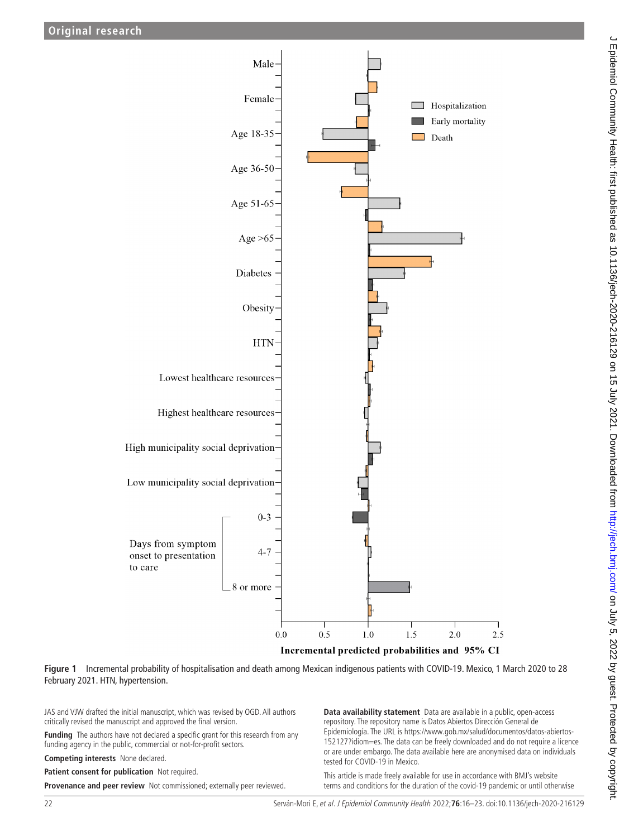

**Figure 1** Incremental probability of hospitalisation and death among Mexican indigenous patients with COVID-19. Mexico, 1 March 2020 to 28 February 2021. HTN, hypertension.

JAS and VJW drafted the initial manuscript, which was revised by OGD. All authors critically revised the manuscript and approved the final version.

**Funding** The authors have not declared a specific grant for this research from any funding agency in the public, commercial or not-for-profit sectors.

**Competing interests** None declared.

**Patient consent for publication** Not required.

**Provenance and peer review** Not commissioned; externally peer reviewed.

<span id="page-6-0"></span>**Data availability statement** Data are available in a public, open-access repository. The repository name is Datos Abiertos Dirección General de Epidemiología. The URL is [https://www.gob.mx/salud/documentos/datos-abiertos-](https://www.gob.mx/salud/documentos/datos-abiertos-152127?idiom=es)[152127?idiom=es](https://www.gob.mx/salud/documentos/datos-abiertos-152127?idiom=es). The data can be freely downloaded and do not require a licence or are under embargo. The data available here are anonymised data on individuals tested for COVID-19 in Mexico.

This article is made freely available for use in accordance with BMJ's website terms and conditions for the duration of the covid-19 pandemic or until otherwise